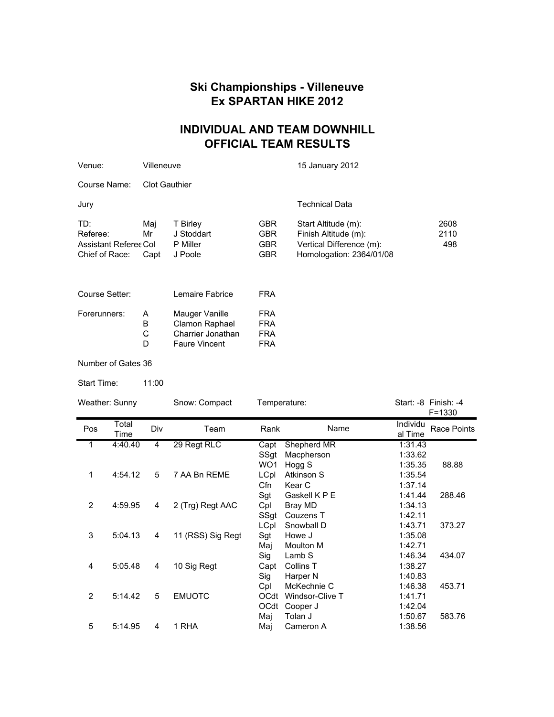## **Ski Championships - Villeneuve Ex SPARTAN HIKE 2012**

## **INDIVIDUAL AND TEAM DOWNHILL OFFICIAL TEAM RESULTS**

| Venue:                                                     | Villeneuve           |                                                                               |                                                      | 15 January 2012                                                                                     |                     |  |
|------------------------------------------------------------|----------------------|-------------------------------------------------------------------------------|------------------------------------------------------|-----------------------------------------------------------------------------------------------------|---------------------|--|
| Course Name:                                               | <b>Clot Gauthier</b> |                                                                               |                                                      |                                                                                                     |                     |  |
| Jury                                                       |                      |                                                                               |                                                      | <b>Technical Data</b>                                                                               |                     |  |
| TD:<br>Referee:<br>Assistant Referee Col<br>Chief of Race: | Mai<br>Mr<br>Capt    | T Birley<br>J Stoddart<br>P Miller<br>J Poole                                 | <b>GBR</b><br><b>GBR</b><br><b>GBR</b><br><b>GBR</b> | Start Altitude (m):<br>Finish Altitude (m):<br>Vertical Difference (m):<br>Homologation: 2364/01/08 | 2608<br>2110<br>498 |  |
| Course Setter:                                             |                      | Lemaire Fabrice                                                               | <b>FRA</b>                                           |                                                                                                     |                     |  |
| Forerunners:                                               | A<br>B<br>С<br>D     | Mauger Vanille<br>Clamon Raphael<br>Charrier Jonathan<br><b>Faure Vincent</b> | <b>FRA</b><br><b>FRA</b><br><b>FRA</b><br><b>FRA</b> |                                                                                                     |                     |  |
| Number of Gates 36                                         |                      |                                                                               |                                                      |                                                                                                     |                     |  |

Start Time: 11:00

| Weather: Sunny |               | Temperature:<br>Snow: Compact |                   |                                | Start: -8 Finish: -4<br>$F = 1330$                 |                               |                    |
|----------------|---------------|-------------------------------|-------------------|--------------------------------|----------------------------------------------------|-------------------------------|--------------------|
| Pos            | Total<br>Time | Div                           | Team              | Rank                           | Name                                               | Individu<br>al Time           | <b>Race Points</b> |
| 1              | 4:40.40       | 4                             | 29 Regt RLC       | Capt<br>SSgt                   | Shepherd MR<br>Macpherson                          | 1:31.43<br>1:33.62            |                    |
| 1              | 4:54.12       | 5                             | 7 AA Bn REME      | WO <sub>1</sub><br>LCpl<br>Cfn | Hogg S<br>Atkinson S<br>Kear C                     | 1:35.35<br>1:35.54<br>1:37.14 | 88.88              |
| 2              | 4:59.95       | 4                             | 2 (Trg) Regt AAC  | Sgt<br>Cpl<br>SSgt             | Gaskell K P E<br>Bray MD<br>Couzens T              | 1:41.44<br>1:34.13<br>1:42.11 | 288.46             |
| 3              | 5:04.13       | 4                             | 11 (RSS) Sig Regt | LCpl<br>Sgt                    | Snowball D<br>Howe J                               | 1:43.71<br>1:35.08            | 373.27             |
| 4              | 5:05.48       | 4                             | 10 Sig Regt       | Maj<br>Sig<br>Capt             | <b>Moulton M</b><br>Lamb S<br>Collins <sub>T</sub> | 1:42.71<br>1:46.34<br>1:38.27 | 434.07             |
| 2              | 5:14.42       | 5                             | <b>EMUOTC</b>     | Sig<br>Cpl<br><b>OCdt</b>      | Harper N<br>McKechnie C<br>Windsor-Clive T         | 1:40.83<br>1:46.38<br>1:41.71 | 453.71             |
|                |               |                               |                   | OCdt<br>Maj                    | Cooper J<br>Tolan J                                | 1:42.04<br>1:50.67            | 583.76             |
| 5              | 5:14.95       | 4                             | 1 RHA             | Maj                            | Cameron A                                          | 1:38.56                       |                    |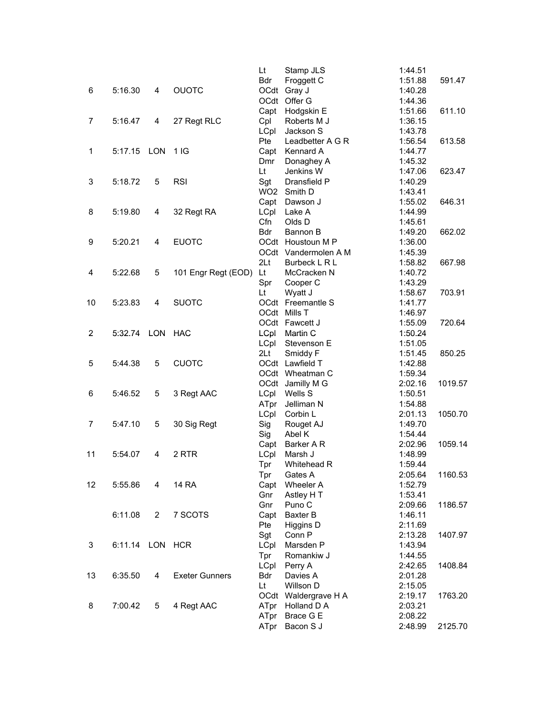|                |                 |                |                       | Lt              | Stamp JLS                           | 1:44.51 |         |
|----------------|-----------------|----------------|-----------------------|-----------------|-------------------------------------|---------|---------|
|                |                 |                |                       | <b>Bdr</b>      | Froggett C                          | 1:51.88 | 591.47  |
| 6              | 5:16.30         | 4              | <b>OUOTC</b>          |                 | OCdt Gray J                         | 1:40.28 |         |
|                |                 |                |                       |                 | OCdt Offer G                        | 1:44.36 |         |
|                |                 |                |                       |                 | Capt Hodgskin E                     | 1:51.66 | 611.10  |
| 7              | 5:16.47         | 4              | 27 Regt RLC           | Cpl             | Roberts M J                         | 1:36.15 |         |
|                |                 |                |                       | LCpl            | Jackson S                           | 1:43.78 |         |
|                |                 |                |                       | Pte             | Leadbetter A G R                    | 1:56.54 | 613.58  |
| 1              | 5:17.15         | LON            | 1IG                   | Capt            | Kennard A                           | 1:44.77 |         |
|                |                 |                |                       | Dmr             | Donaghey A                          | 1:45.32 |         |
|                |                 |                |                       | Lt              | Jenkins W                           | 1:47.06 | 623.47  |
| 3              | 5:18.72         | 5              | <b>RSI</b>            | Sgt             | Dransfield P                        | 1:40.29 |         |
|                |                 |                |                       |                 | WO2 Smith D                         | 1:43.41 |         |
|                |                 |                |                       |                 | Capt Dawson J                       | 1:55.02 | 646.31  |
| 8              | 5:19.80         | 4              | 32 Regt RA            | LCpl            | Lake A                              | 1:44.99 |         |
|                |                 |                |                       | Cfn             | Olds D                              | 1:45.61 |         |
|                |                 |                |                       | <b>Bdr</b>      | Bannon B                            | 1:49.20 | 662.02  |
| 9              | 5:20.21         | 4              | <b>EUOTC</b>          |                 | OCdt Houstoun M P                   | 1:36.00 |         |
|                |                 |                |                       |                 | OCdt Vandermolen A M                | 1:45.39 |         |
|                |                 |                |                       | 2 <sub>Lt</sub> | Burbeck L R L                       | 1:58.82 | 667.98  |
| 4              | 5:22.68         | 5              | 101 Engr Regt (EOD)   | Lt              | McCracken N                         | 1:40.72 |         |
|                |                 |                |                       | Spr             | Cooper C                            | 1:43.29 |         |
|                |                 |                |                       | Lt              | Wyatt J                             | 1:58.67 | 703.91  |
| 10             | 5:23.83         | 4              | <b>SUOTC</b>          |                 | OCdt Freemantle S                   | 1:41.77 |         |
|                |                 |                |                       |                 | OCdt Mills T                        | 1:46.97 |         |
|                |                 |                |                       |                 | OCdt Fawcett J                      | 1:55.09 | 720.64  |
| $\overline{2}$ | 5:32.74 LON     |                | HAC                   | <b>LCpl</b>     | Martin C                            | 1:50.24 |         |
|                |                 |                |                       | LCpl            | Stevenson E                         | 1:51.05 |         |
|                |                 |                |                       | 2 <sub>Li</sub> | Smiddy F                            | 1:51.45 | 850.25  |
| 5              | 5:44.38         | 5              | <b>CUOTC</b>          |                 | OCdt Lawfield T                     | 1:42.88 |         |
|                |                 |                |                       |                 | OCdt Wheatman C                     | 1:59.34 |         |
|                |                 |                |                       |                 | OCdt Jamilly M G                    | 2:02.16 | 1019.57 |
| 6              | 5:46.52         | 5              | 3 Regt AAC            | LCpl            | Wells S                             | 1:50.51 |         |
|                |                 |                |                       | ATpr            | Jelliman N                          | 1:54.88 |         |
|                |                 |                |                       | LCpl            | Corbin L                            | 2:01.13 | 1050.70 |
| 7              | 5:47.10         | 5              | 30 Sig Regt           | Sig             | Rouget AJ                           | 1:49.70 |         |
|                |                 |                |                       | Sig             | Abel K                              | 1:54.44 |         |
|                |                 |                |                       | Capt            | Barker A R                          | 2:02.96 | 1059.14 |
| 11             | 5:54.07         | 4              | 2 RTR                 | LCpl            | Marsh J                             | 1:48.99 |         |
|                |                 |                |                       | Tpr             | Whitehead R                         | 1:59.44 |         |
|                |                 |                |                       | Tpr             | Gates A                             | 2:05.64 | 1160.53 |
| 12             | 5:55.86         | 4              | <b>14 RA</b>          | Capt            | Wheeler A                           | 1:52.79 |         |
|                |                 |                |                       | Gnr             | Astley H T                          | 1:53.41 |         |
|                |                 |                |                       | Gnr             | Puno <sub>C</sub>                   | 2:09.66 | 1186.57 |
|                | 6:11.08         | $\overline{2}$ | 7 SCOTS               | Capt            | Baxter B                            | 1:46.11 |         |
|                |                 |                |                       | Pte             | Higgins D                           | 2:11.69 |         |
|                |                 |                |                       | Sgt             | Conn <sub>P</sub>                   | 2:13.28 | 1407.97 |
| 3              | 6:11.14 LON HCR |                |                       | LCpl            | Marsden P                           | 1:43.94 |         |
|                |                 |                |                       | Tpr             | Romankiw J                          | 1:44.55 |         |
|                |                 |                |                       | LCpl            |                                     | 2:42.65 | 1408.84 |
|                |                 |                |                       |                 | Perry A                             |         |         |
| 13             | 6:35.50         | 4              | <b>Exeter Gunners</b> | Bdr             | Davies A                            | 2:01.28 |         |
|                |                 |                |                       | Lt              | Willson D                           | 2:15.05 |         |
| 8              | 7:00.42         |                |                       |                 | OCdt Waldergrave H A<br>Holland D A | 2:19.17 | 1763.20 |
|                |                 | 5              | 4 Regt AAC            | ATpr            |                                     | 2:03.21 |         |
|                |                 |                |                       | ATpr            | Brace G E                           | 2:08.22 |         |
|                |                 |                |                       | ATpr            | Bacon S J                           | 2:48.99 | 2125.70 |